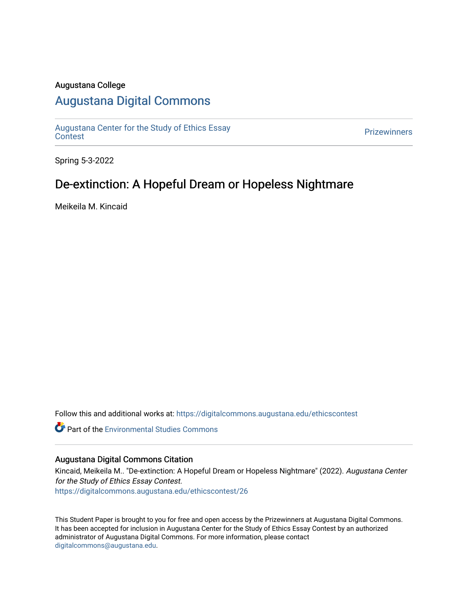### Augustana College

# [Augustana Digital Commons](https://digitalcommons.augustana.edu/)

[Augustana Center for the Study of Ethics Essay](https://digitalcommons.augustana.edu/ethicscontest)  [Contest](https://digitalcommons.augustana.edu/ethicscontest) [Prizewinners](https://digitalcommons.augustana.edu/prizewinners) 

Spring 5-3-2022

## De-extinction: A Hopeful Dream or Hopeless Nightmare

Meikeila M. Kincaid

Follow this and additional works at: [https://digitalcommons.augustana.edu/ethicscontest](https://digitalcommons.augustana.edu/ethicscontest?utm_source=digitalcommons.augustana.edu%2Fethicscontest%2F26&utm_medium=PDF&utm_campaign=PDFCoverPages)

Part of the [Environmental Studies Commons](http://network.bepress.com/hgg/discipline/1333?utm_source=digitalcommons.augustana.edu%2Fethicscontest%2F26&utm_medium=PDF&utm_campaign=PDFCoverPages)

#### Augustana Digital Commons Citation

Kincaid, Meikeila M.. "De-extinction: A Hopeful Dream or Hopeless Nightmare" (2022). Augustana Center for the Study of Ethics Essay Contest. [https://digitalcommons.augustana.edu/ethicscontest/26](https://digitalcommons.augustana.edu/ethicscontest/26?utm_source=digitalcommons.augustana.edu%2Fethicscontest%2F26&utm_medium=PDF&utm_campaign=PDFCoverPages) 

This Student Paper is brought to you for free and open access by the Prizewinners at Augustana Digital Commons. It has been accepted for inclusion in Augustana Center for the Study of Ethics Essay Contest by an authorized administrator of Augustana Digital Commons. For more information, please contact [digitalcommons@augustana.edu](mailto:digitalcommons@augustana.edu).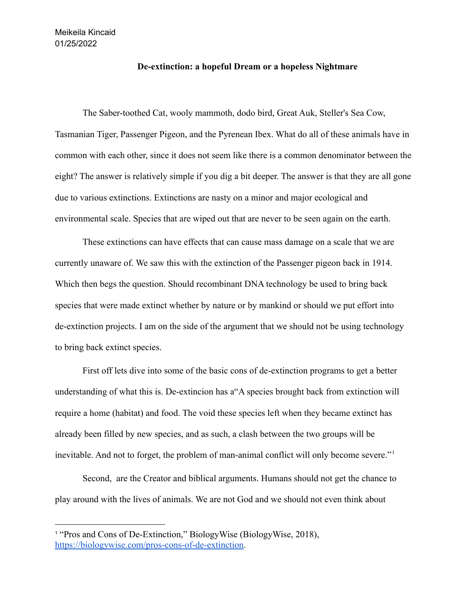### **De-extinction: a hopeful Dream or a hopeless Nightmare**

The Saber-toothed Cat, wooly mammoth, dodo bird, Great Auk, Steller's Sea Cow, Tasmanian Tiger, Passenger Pigeon, and the Pyrenean Ibex. What do all of these animals have in common with each other, since it does not seem like there is a common denominator between the eight? The answer is relatively simple if you dig a bit deeper. The answer is that they are all gone due to various extinctions. Extinctions are nasty on a minor and major ecological and environmental scale. Species that are wiped out that are never to be seen again on the earth.

These extinctions can have effects that can cause mass damage on a scale that we are currently unaware of. We saw this with the extinction of the Passenger pigeon back in 1914. Which then begs the question. Should recombinant DNA technology be used to bring back species that were made extinct whether by nature or by mankind or should we put effort into de-extinction projects. I am on the side of the argument that we should not be using technology to bring back extinct species.

First off lets dive into some of the basic cons of de-extinction programs to get a better understanding of what this is. De-extincion has a"A species brought back from extinction will require a home (habitat) and food. The void these species left when they became extinct has already been filled by new species, and as such, a clash between the two groups will be inevitable. And not to forget, the problem of man-animal conflict will only become severe."<sup>1</sup>

Second, are the Creator and biblical arguments. Humans should not get the chance to play around with the lives of animals. We are not God and we should not even think about

<sup>1</sup> "Pros and Cons of De-Extinction," BiologyWise (BiologyWise, 2018), [https://biologywise.com/pros-cons-of-de-extinction.](https://biologywise.com/pros-cons-of-de-extinction)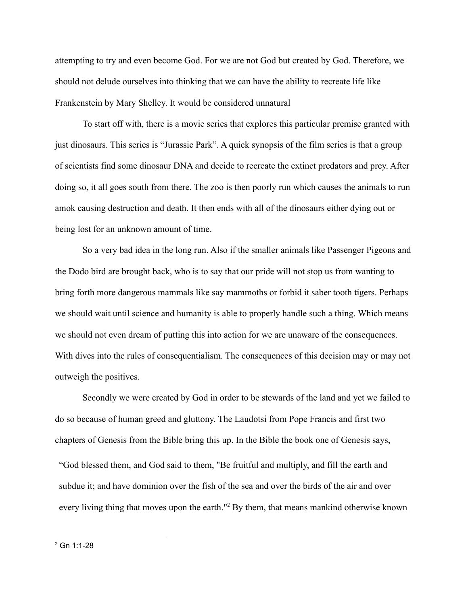attempting to try and even become God. For we are not God but created by God. Therefore, we should not delude ourselves into thinking that we can have the ability to recreate life like Frankenstein by Mary Shelley. It would be considered unnatural

To start off with, there is a movie series that explores this particular premise granted with just dinosaurs. This series is "Jurassic Park". A quick synopsis of the film series is that a group of scientists find some dinosaur DNA and decide to recreate the extinct predators and prey. After doing so, it all goes south from there. The zoo is then poorly run which causes the animals to run amok causing destruction and death. It then ends with all of the dinosaurs either dying out or being lost for an unknown amount of time.

So a very bad idea in the long run. Also if the smaller animals like Passenger Pigeons and the Dodo bird are brought back, who is to say that our pride will not stop us from wanting to bring forth more dangerous mammals like say mammoths or forbid it saber tooth tigers. Perhaps we should wait until science and humanity is able to properly handle such a thing. Which means we should not even dream of putting this into action for we are unaware of the consequences. With dives into the rules of consequentialism. The consequences of this decision may or may not outweigh the positives.

Secondly we were created by God in order to be stewards of the land and yet we failed to do so because of human greed and gluttony. The Laudotsi from Pope Francis and first two chapters of Genesis from the Bible bring this up. In the Bible the book one of Genesis says, "God blessed them, and God said to them, "Be fruitful and multiply, and fill the earth and subdue it; and have dominion over the fish of the sea and over the birds of the air and over every living thing that moves upon the earth."<sup>2</sup> By them, that means mankind otherwise known

 $2$  Gn 1:1-28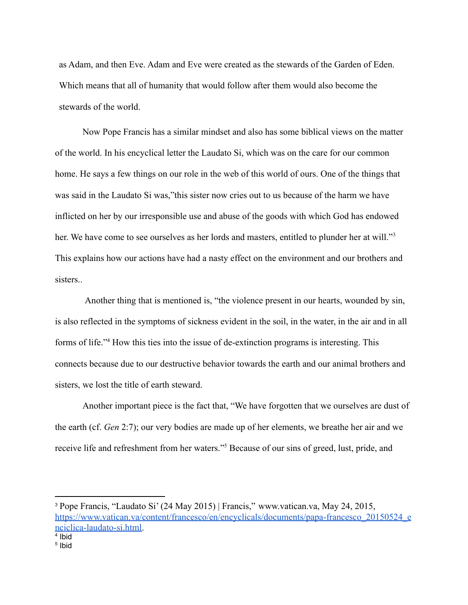as Adam, and then Eve. Adam and Eve were created as the stewards of the Garden of Eden. Which means that all of humanity that would follow after them would also become the stewards of the world.

Now Pope Francis has a similar mindset and also has some biblical views on the matter of the world. In his encyclical letter the Laudato Si, which was on the care for our common home. He says a few things on our role in the web of this world of ours. One of the things that was said in the Laudato Si was,"this sister now cries out to us because of the harm we have inflicted on her by our irresponsible use and abuse of the goods with which God has endowed her. We have come to see ourselves as her lords and masters, entitled to plunder her at will."<sup>3</sup> This explains how our actions have had a nasty effect on the environment and our brothers and sisters..

Another thing that is mentioned is, "the violence present in our hearts, wounded by sin, is also reflected in the symptoms of sickness evident in the soil, in the water, in the air and in all forms of life."<sup>4</sup> How this ties into the issue of de-extinction programs is interesting. This connects because due to our destructive behavior towards the earth and our animal brothers and sisters, we lost the title of earth steward.

Another important piece is the fact that, "We have forgotten that we ourselves are dust of the earth (cf. *Gen* 2:7); our very bodies are made up of her elements, we breathe her air and we receive life and refreshment from her waters."<sup>5</sup> Because of our sins of greed, lust, pride, and

<sup>4</sup> Ibid <sup>3</sup> Pope Francis, "Laudato Si' (24 May 2015) | Francis," www.vatican.va, May 24, 2015[,](https://www.vatican.va/content/francesco/en/encyclicals/documents/papa-francesco_20150524_enciclica-laudato-si.html) [https://www.vatican.va/content/francesco/en/encyclicals/documents/papa-francesco\\_20150524\\_e](https://www.vatican.va/content/francesco/en/encyclicals/documents/papa-francesco_20150524_enciclica-laudato-si.html) [nciclica-laudato-si.html.](https://www.vatican.va/content/francesco/en/encyclicals/documents/papa-francesco_20150524_enciclica-laudato-si.html)

<sup>5</sup> Ibid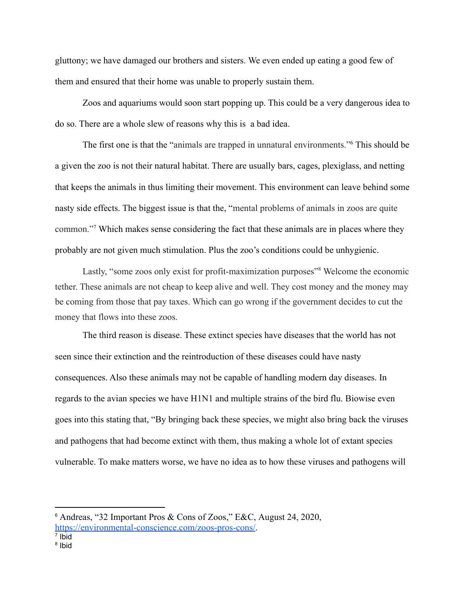gluttony; we have damaged our brothers and sisters. We even ended up eating a good few of them and ensured that their home was unable to properly sustain them.

Zoos and aquariums would soon start popping up. This could be a very dangerous idea to do so. There are a whole slew of reasons why this is a bad idea.

The first one is that the "animals are trapped in unnatural environments."<sup>6</sup> This should be a given the zoo is not their natural habitat. There are usually bars, cages, plexiglass, and netting that keeps the animals in thus limiting their movement. This environment can leave behind some nasty side effects. The biggest issue is that the, "mental problems of animals in zoos are quite common."<sup>7</sup> Which makes sense considering the fact that these animals are in places where they probably are not given much stimulation. Plus the zoo's conditions could be unhygienic.

Lastly, "some zoos only exist for profit-maximization purposes"<sup>8</sup> Welcome the economic tether. These animals are not cheap to keep alive and well. They cost money and the money may be coming from those that pay taxes. Which can go wrong if the government decides to cut the money that flows into these zoos.

The third reason is disease. These extinct species have diseases that the world has not seen since their extinction and the reintroduction of these diseases could have nasty consequences. Also these animals may not be capable of handling modern day diseases. In regards to the avian species we have H1N1 and multiple strains of the bird flu. Biowise even goes into this stating that, "By bringing back these species, we might also bring back the viruses and pathogens that had become extinct with them, thus making a whole lot of extant species vulnerable. To make matters worse, we have no idea as to how these viruses and pathogens will

<sup>6</sup> Andreas, "32 Important Pros & Cons of Zoos," E&C, August 24, 2020, <https://environmental-conscience.com/zoos-pros-cons/>.

<sup>7</sup> Ibid

<sup>8</sup> Ibid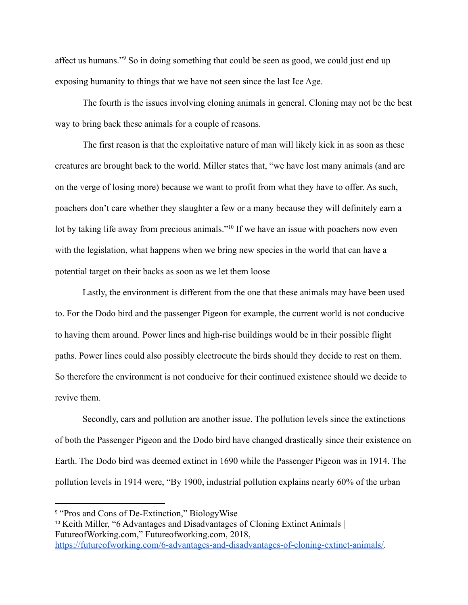affect us humans."<sup>9</sup> So in doing something that could be seen as good, we could just end up exposing humanity to things that we have not seen since the last Ice Age.

The fourth is the issues involving cloning animals in general. Cloning may not be the best way to bring back these animals for a couple of reasons.

The first reason is that the exploitative nature of man will likely kick in as soon as these creatures are brought back to the world. Miller states that, "we have lost many animals (and are on the verge of losing more) because we want to profit from what they have to offer. As such, poachers don't care whether they slaughter a few or a many because they will definitely earn a lot by taking life away from precious animals."<sup>10</sup> If we have an issue with poachers now even with the legislation, what happens when we bring new species in the world that can have a potential target on their backs as soon as we let them loose

Lastly, the environment is different from the one that these animals may have been used to. For the Dodo bird and the passenger Pigeon for example, the current world is not conducive to having them around. Power lines and high-rise buildings would be in their possible flight paths. Power lines could also possibly electrocute the birds should they decide to rest on them. So therefore the environment is not conducive for their continued existence should we decide to revive them.

Secondly, cars and pollution are another issue. The pollution levels since the extinctions of both the Passenger Pigeon and the Dodo bird have changed drastically since their existence on Earth. The Dodo bird was deemed extinct in 1690 while the Passenger Pigeon was in 1914. The pollution levels in 1914 were, "By 1900, industrial pollution explains nearly 60% of the urban

<sup>9</sup> "Pros and Cons of De-Extinction," BiologyWise

<sup>10</sup> Keith Miller, "6 Advantages and Disadvantages of [C](https://futureofworking.com/6-advantages-and-disadvantages-of-cloning-extinct-animals/)loning Extinct Animals | FutureofWorking.com," Futureofworking.com, 2018,

<https://futureofworking.com/6-advantages-and-disadvantages-of-cloning-extinct-animals/>.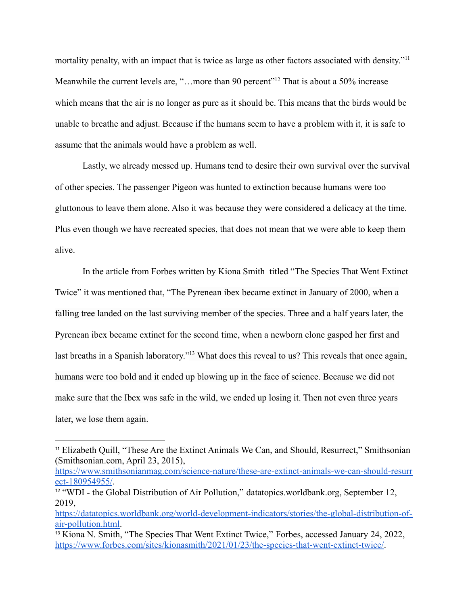mortality penalty, with an impact that is twice as large as other factors associated with density."<sup>11</sup> Meanwhile the current levels are, "...more than 90 percent"<sup>12</sup> That is about a 50% increase which means that the air is no longer as pure as it should be. This means that the birds would be unable to breathe and adjust. Because if the humans seem to have a problem with it, it is safe to assume that the animals would have a problem as well.

Lastly, we already messed up. Humans tend to desire their own survival over the survival of other species. The passenger Pigeon was hunted to extinction because humans were too gluttonous to leave them alone. Also it was because they were considered a delicacy at the time. Plus even though we have recreated species, that does not mean that we were able to keep them alive.

In the article from Forbes written by Kiona Smith titled "The Species That Went Extinct Twice" it was mentioned that, "The Pyrenean ibex became extinct in January of 2000, when a falling tree landed on the last surviving member of the species. Three and a half years later, the Pyrenean ibex became extinct for the second time, when a newborn clone gasped her first and last breaths in a Spanish laboratory."<sup>13</sup> What does this reveal to us? This reveals that once again, humans were too bold and it ended up blowing up in the face of science. Because we did not make sure that the Ibex was safe in the wild, we ended up losing it. Then not even three years later, we lose them again.

<sup>11</sup> Elizabeth Quill, "These Are the Extinct Animals We Can, and Should, Resurrect," Smithsonian (Smithsonian.com, April 23, 2015),

[https://www.smithsonianmag.com/science-nature/these-are-extinct-animals-we-can-should-resurr](https://www.smithsonianmag.com/science-nature/these-are-extinct-animals-we-can-should-resurrect-180954955/) [ect-180954955/](https://www.smithsonianmag.com/science-nature/these-are-extinct-animals-we-can-should-resurrect-180954955/).

<sup>&</sup>lt;sup>12</sup> "WDI - the Global Distribution of Air Pollution," datatopics.worldbank.org, September 12, 2019,

[https://datatopics.worldbank.org/world-development-indicators/stories/the-global-distribution-of](https://datatopics.worldbank.org/world-development-indicators/stories/the-global-distribution-of-air-pollution.html)[air-pollution.html.](https://datatopics.worldbank.org/world-development-indicators/stories/the-global-distribution-of-air-pollution.html)

<sup>&</sup>lt;sup>13</sup> Kiona N. Smith, "The Species That Went Extinct Twice," Forbes, accessed January 24, 2022, <https://www.forbes.com/sites/kionasmith/2021/01/23/the-species-that-went-extinct-twice/>.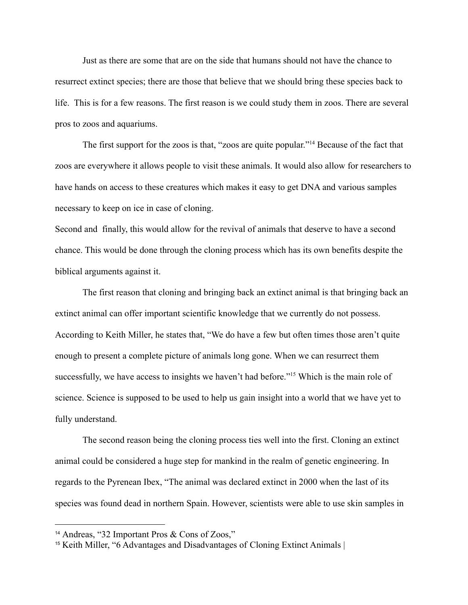Just as there are some that are on the side that humans should not have the chance to resurrect extinct species; there are those that believe that we should bring these species back to life. This is for a few reasons. The first reason is we could study them in zoos. There are several pros to zoos and aquariums.

The first support for the zoos is that, "zoos are quite popular."<sup>14</sup> Because of the fact that zoos are everywhere it allows people to visit these animals. It would also allow for researchers to have hands on access to these creatures which makes it easy to get DNA and various samples necessary to keep on ice in case of cloning.

Second and finally, this would allow for the revival of animals that deserve to have a second chance. This would be done through the cloning process which has its own benefits despite the biblical arguments against it.

The first reason that cloning and bringing back an extinct animal is that bringing back an extinct animal can offer important scientific knowledge that we currently do not possess. According to Keith Miller, he states that, "We do have a few but often times those aren't quite enough to present a complete picture of animals long gone. When we can resurrect them successfully, we have access to insights we haven't had before."<sup>15</sup> Which is the main role of science. Science is supposed to be used to help us gain insight into a world that we have yet to fully understand.

The second reason being the cloning process ties well into the first. Cloning an extinct animal could be considered a huge step for mankind in the realm of genetic engineering. In regards to the Pyrenean Ibex, "The animal was declared extinct in 2000 when the last of its species was found dead in northern Spain. However, scientists were able to use skin samples in

<sup>14</sup> Andreas, "32 Important Pros & Cons of Zoos,"

<sup>15</sup> Keith Miller, "6 Advantages and Disadvantages of Cloning Extinct Animals |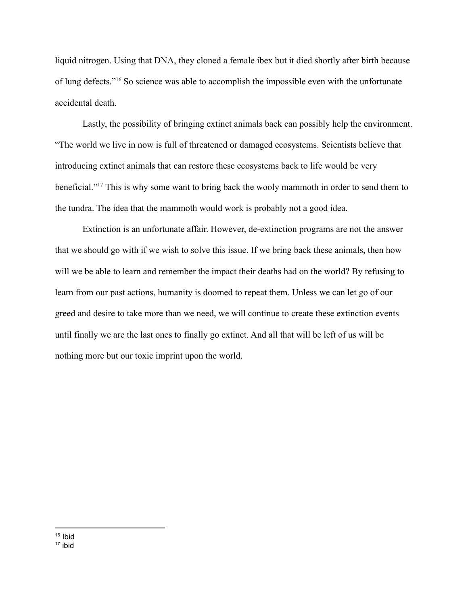liquid nitrogen. Using that DNA, they cloned a female ibex but it died shortly after birth because of lung defects."<sup>16</sup> So science was able to accomplish the impossible even with the unfortunate accidental death.

Lastly, the possibility of bringing extinct animals back can possibly help the environment. "The world we live in now is full of threatened or damaged ecosystems. Scientists believe that introducing extinct animals that can restore these ecosystems back to life would be very beneficial." <sup>17</sup> This is why some want to bring back the wooly mammoth in order to send them to the tundra. The idea that the mammoth would work is probably not a good idea.

Extinction is an unfortunate affair. However, de-extinction programs are not the answer that we should go with if we wish to solve this issue. If we bring back these animals, then how will we be able to learn and remember the impact their deaths had on the world? By refusing to learn from our past actions, humanity is doomed to repeat them. Unless we can let go of our greed and desire to take more than we need, we will continue to create these extinction events until finally we are the last ones to finally go extinct. And all that will be left of us will be nothing more but our toxic imprint upon the world.

 $16$  Ibid

<sup>17</sup> ibid